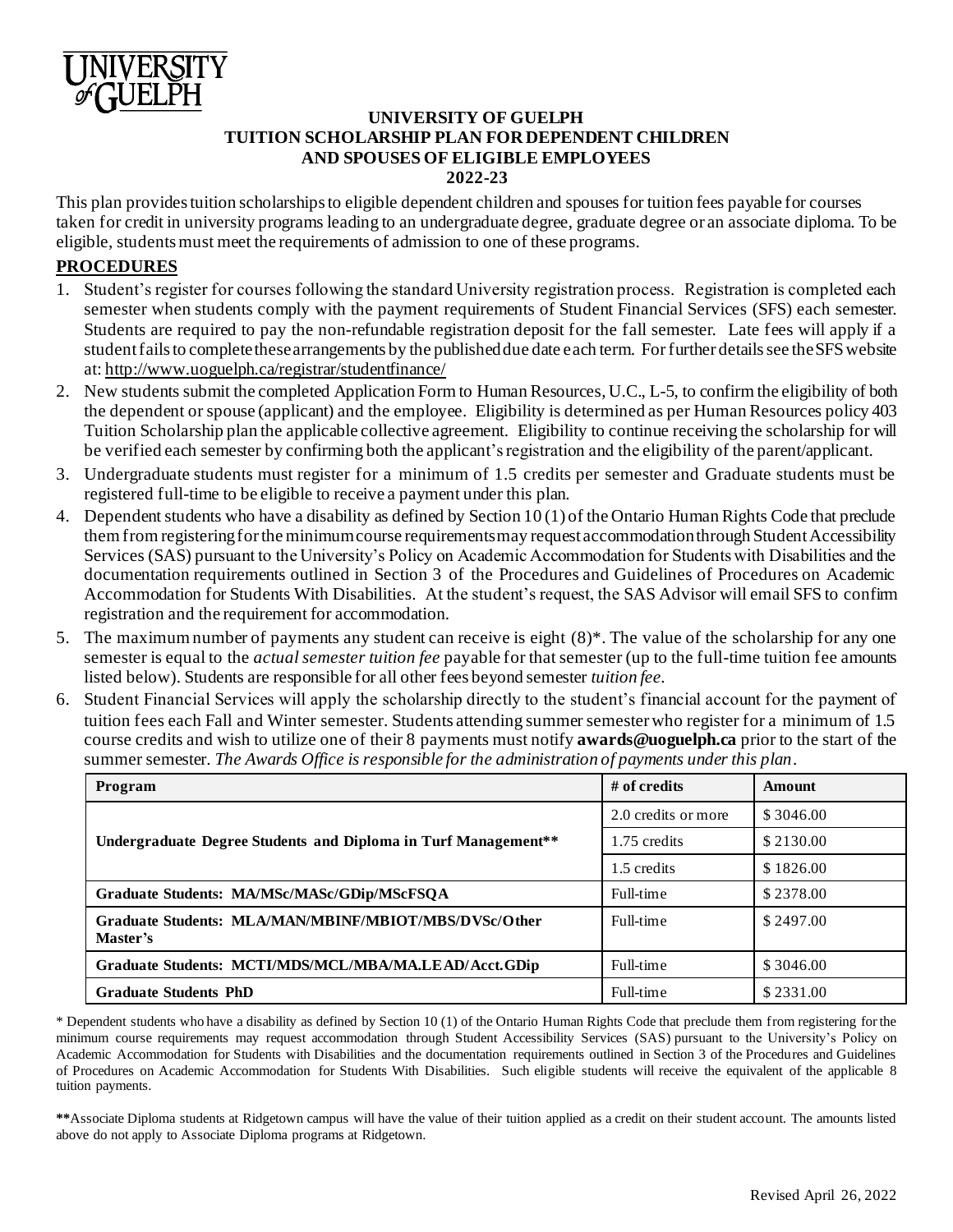

# **UNIVERSITY OF GUELPH TUITION SCHOLARSHIP PLAN FOR DEPENDENT CHILDREN AND SPOUSES OF ELIGIBLE EMPLOYEES 2022-23**

This plan provides tuition scholarships to eligible dependent children and spouses for tuition fees payable for courses taken for credit in university programs leading to an undergraduate degree, graduate degree or an associate diploma. To be eligible, students must meet the requirements of admission to one of these programs.

# **PROCEDURES**

- 1. Student's register for courses following the standard University registration process. Registration is completed each semester when students comply with the payment requirements of Student Financial Services (SFS) each semester. Students are required to pay the non-refundable registration deposit for the fall semester. Late fees will apply if a student fails to complete these arrangements by the published due date each term. For further details see the SFS website at: http://www.uoguelph.ca/registrar/studentfinance/
- 2. New students submit the completed Application Form to Human Resources, U.C., L-5, to confirm the eligibility of both the dependent or spouse (applicant) and the employee. Eligibility is determined as per Human Resources policy 403 Tuition Scholarship plan the applicable collective agreement. Eligibility to continue receiving the scholarship for will be verified each semester by confirming both the applicant's registration and the eligibility of the parent/applicant.
- 3. Undergraduate students must register for a minimum of 1.5 credits per semester and Graduate students must be registered full-time to be eligible to receive a payment under this plan.
- 4. Dependent students who have a disability as defined by Section 10 (1) of the Ontario Human Rights Code that preclude them from registering for the minimum course requirements may request accommodation through Student Accessibility Services (SAS) pursuant to the University's Policy on Academic Accommodation for Students with Disabilities and the documentation requirements outlined in Section 3 of the Procedures and Guidelines of Procedures on Academic Accommodation for Students With Disabilities. At the student's request, the SAS Advisor will email SFS to confirm registration and the requirement for accommodation.
- 5. The maximum number of payments any student can receive is eight (8)\*. The value of the scholarship for any one semester is equal to the *actual semester tuition fee* payable for that semester (up to the full-time tuition fee amounts listed below). Students are responsible for all other fees beyond semester *tuition fee.*
- 6. Student Financial Services will apply the scholarship directly to the student's financial account for the payment of tuition fees each Fall and Winter semester. Students attending summer semester who register for a minimum of 1.5 course credits and wish to utilize one of their 8 payments must notify **awards@uoguelph.ca** prior to the start of the summer semester. *The Awards Office is responsible for the administration of payments under this plan.*

| Program                                                           | $#$ of credits      | Amount    |
|-------------------------------------------------------------------|---------------------|-----------|
|                                                                   | 2.0 credits or more | \$3046.00 |
| Undergraduate Degree Students and Diploma in Turf Management**    | 1.75 credits        | \$2130.00 |
|                                                                   | 1.5 credits         | \$1826.00 |
| Graduate Students: MA/MSc/MASc/GDip/MScFSQA                       | Full-time           | \$2378.00 |
| Graduate Students: MLA/MAN/MBINF/MBIOT/MBS/DVSc/Other<br>Master's | Full-time           | \$2497.00 |
| Graduate Students: MCTI/MDS/MCL/MBA/MA.LEAD/Acct.GDip             | Full-time           | \$3046.00 |
| <b>Graduate Students PhD</b>                                      | Full-time           | \$2331.00 |

\* Dependent students who have a disability as defined by Section 10 (1) of the Ontario Human Rights Code that preclude them from registering for the minimum course requirements may request accommodation through Student Accessibility Services (SAS) pursuant to the University's Policy on Academic Accommodation for Students with Disabilities and the documentation requirements outlined in Section 3 of the Procedures and Guidelines of Procedures on Academic Accommodation for Students With Disabilities. Such eligible students will receive the equivalent of the applicable 8 tuition payments.

**\*\***Associate Diploma students at Ridgetown campus will have the value of their tuition applied as a credit on their student account. The amounts listed above do not apply to Associate Diploma programs at Ridgetown.